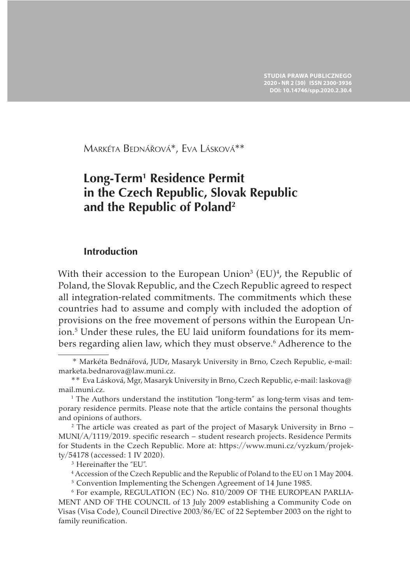Markéta Bednářová\*, Eva Lásková\*\*

# **Long-Term<sup>1</sup> Residence Permit in the Czech Republic, Slovak Republic and the Republic of Poland<sup>2</sup>**

#### **Introduction**

With their accession to the European Union<sup>3</sup> (EU)<sup>4</sup>, the Republic of Poland, the Slovak Republic, and the Czech Republic agreed to respect all integration-related commitments. The commitments which these countries had to assume and comply with included the adoption of provisions on the free movement of persons within the European Union.5 Under these rules, the EU laid uniform foundations for its members regarding alien law, which they must observe.<sup>6</sup> Adherence to the

<sup>3</sup> Hereinafter the "EU".

 <sup>\*</sup> Markéta Bednářová, JUDr, Masaryk University in Brno, Czech Republic, e-mail: marketa.bednarova@law.muni.cz.

 <sup>\*\*</sup> Eva Lásková, Mgr, Masaryk University in Brno, Czech Republic, e-mail: laskova@ mail.muni.cz.

<sup>&</sup>lt;sup>1</sup> The Authors understand the institution "long-term" as long-term visas and temporary residence permits. Please note that the article contains the personal thoughts and opinions of authors.

<sup>2</sup> The article was created as part of the project of Masaryk University in Brno – MUNI/A/1119/2019. specific research – student research projects. Residence Permits for Students in the Czech Republic. More at: https://www.muni.cz/vyzkum/projekty/54178 (accessed: 1 IV 2020).

<sup>4</sup> Accession of the Czech Republic and the Republic of Poland to the EU on 1 May 2004.

<sup>5</sup> Convention Implementing the Schengen Agreement of 14 June 1985.

<sup>6</sup> For example, REGULATION (EC) No. 810/2009 OF THE EUROPEAN PARLIA-MENT AND OF THE COUNCIL of 13 July 2009 establishing a Community Code on Visas (Visa Code), Council Directive 2003/86/EC of 22 September 2003 on the right to family reunification.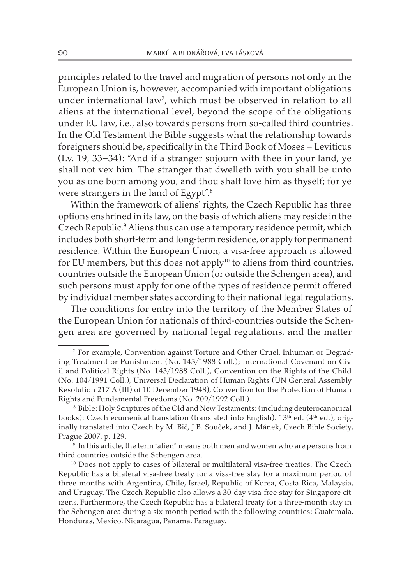principles related to the travel and migration of persons not only in the European Union is, however, accompanied with important obligations under international law7 , which must be observed in relation to all aliens at the international level, beyond the scope of the obligations under EU law, i.e., also towards persons from so-called third countries. In the Old Testament the Bible suggests what the relationship towards foreigners should be, specifically in the Third Book of Moses – Leviticus (Lv. 19, 33–34): "And if a stranger sojourn with thee in your land, ye shall not vex him. The stranger that dwelleth with you shall be unto you as one born among you, and thou shalt love him as thyself; for ye were strangers in the land of Egypt".8

Within the framework of aliens' rights, the Czech Republic has three options enshrined in its law, on the basis of which aliens may reside in the Czech Republic.<sup>9</sup> Aliens thus can use a temporary residence permit, which includes both short-term and long-term residence, or apply for permanent residence. Within the European Union, a visa-free approach is allowed for EU members, but this does not apply $10$  to aliens from third countries, countries outside the European Union (or outside the Schengen area), and such persons must apply for one of the types of residence permit offered by individual member states according to their national legal regulations.

The conditions for entry into the territory of the Member States of the European Union for nationals of third-countries outside the Schengen area are governed by national legal regulations, and the matter

<sup>7</sup> For example, Convention against Torture and Other Cruel, Inhuman or Degrading Treatment or Punishment (No. 143/1988 Coll.); International Covenant on Civil and Political Rights (No. 143/1988 Coll.), Convention on the Rights of the Child (No. 104/1991 Coll.), Universal Declaration of Human Rights (UN General Assembly Resolution 217 A (III) of 10 December 1948), Convention for the Protection of Human Rights and Fundamental Freedoms (No. 209/1992 Coll.).

<sup>8</sup> Bible: Holy Scriptures of the Old and New Testaments: (including deuterocanonical books): Czech ecumenical translation (translated into English).  $13<sup>th</sup>$  ed. ( $4<sup>th</sup>$  ed.), originally translated into Czech by M. Bič, J.B. Souček, and J. Mánek, Czech Bible Society, Prague 2007, p. 129.

<sup>&</sup>lt;sup>9</sup> In this article, the term "alien" means both men and women who are persons from third countries outside the Schengen area.<br><sup>10</sup> Does not apply to cases of bilateral or multilateral visa-free treaties. The Czech

Republic has a bilateral visa-free treaty for a visa-free stay for a maximum period of three months with Argentina, Chile, Israel, Republic of Korea, Costa Rica, Malaysia, and Uruguay. The Czech Republic also allows a 30-day visa-free stay for Singapore citizens. Furthermore, the Czech Republic has a bilateral treaty for a three-month stay in the Schengen area during a six-month period with the following countries: Guatemala, Honduras, Mexico, Nicaragua, Panama, Paraguay.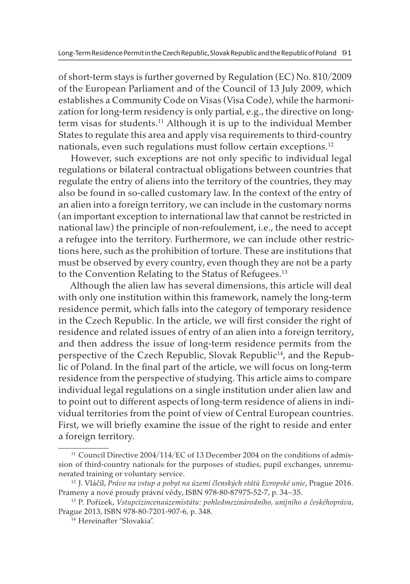of short-term stays is further governed by Regulation (EC) No. 810/2009 of the European Parliament and of the Council of 13 July 2009, which establishes a Community Code on Visas (Visa Code), while the harmonization for long-term residency is only partial, e.g., the directive on longterm visas for students.11 Although it is up to the individual Member States to regulate this area and apply visa requirements to third-country nationals, even such regulations must follow certain exceptions.<sup>12</sup>

However, such exceptions are not only specific to individual legal regulations or bilateral contractual obligations between countries that regulate the entry of aliens into the territory of the countries, they may also be found in so-called customary law. In the context of the entry of an alien into a foreign territory, we can include in the customary norms (an important exception to international law that cannot be restricted in national law) the principle of non-refoulement, i.e., the need to accept a refugee into the territory. Furthermore, we can include other restrictions here, such as the prohibition of torture. These are institutions that must be observed by every country, even though they are not be a party to the Convention Relating to the Status of Refugees.<sup>13</sup>

Although the alien law has several dimensions, this article will deal with only one institution within this framework, namely the long-term residence permit, which falls into the category of temporary residence in the Czech Republic. In the article, we will first consider the right of residence and related issues of entry of an alien into a foreign territory, and then address the issue of long-term residence permits from the perspective of the Czech Republic, Slovak Republic<sup>14</sup>, and the Republic of Poland. In the final part of the article, we will focus on long-term residence from the perspective of studying. This article aims to compare individual legal regulations on a single institution under alien law and to point out to different aspects of long-term residence of aliens in individual territories from the point of view of Central European countries. First, we will briefly examine the issue of the right to reside and enter a foreign territory.

<sup>&</sup>lt;sup>11</sup> Council Directive 2004/114/EC of 13 December 2004 on the conditions of admission of third-country nationals for the purposes of studies, pupil exchanges, unremunerated training or voluntary service.

<sup>12</sup> J. Vláčil, *Právo na vstup a pobyt na území členských států Evropské unie*, Prague 2016. Prameny a nové proudy právní vědy, ISBN 978-80-87975-52-7, p. 34–35.

<sup>13</sup> P. Pořízek, *Vstupcizincenaúzemístátu: pohledmezinárodního, unijního a českéhopráva*, Prague 2013, ISBN 978-80-7201-907-6, p. 348.

<sup>14</sup> Hereinafter "Slovakia".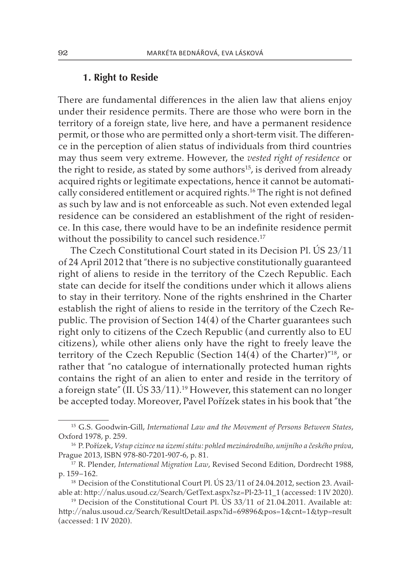# **1. Right to Reside**

There are fundamental differences in the alien law that aliens enjoy under their residence permits. There are those who were born in the territory of a foreign state, live here, and have a permanent residence permit, or those who are permitted only a short-term visit. The difference in the perception of alien status of individuals from third countries may thus seem very extreme. However, the *vested right of residence* or the right to reside, as stated by some authors<sup>15</sup>, is derived from already acquired rights or legitimate expectations, hence it cannot be automatically considered entitlement or acquired rights.<sup>16</sup> The right is not defined as such by law and is not enforceable as such. Not even extended legal residence can be considered an establishment of the right of residence. In this case, there would have to be an indefinite residence permit without the possibility to cancel such residence.<sup>17</sup>

The Czech Constitutional Court stated in its Decision Pl. ÚS 23/11 of 24 April 2012 that "there is no subjective constitutionally guaranteed right of aliens to reside in the territory of the Czech Republic. Each state can decide for itself the conditions under which it allows aliens to stay in their territory. None of the rights enshrined in the Charter establish the right of aliens to reside in the territory of the Czech Republic. The provision of Section 14(4) of the Charter guarantees such right only to citizens of the Czech Republic (and currently also to EU citizens), while other aliens only have the right to freely leave the territory of the Czech Republic (Section  $14(4)$  of the Charter)<sup> $n_{18}$ </sup>, or rather that "no catalogue of internationally protected human rights contains the right of an alien to enter and reside in the territory of a foreign state" (II. US 33/11).<sup>19</sup> However, this statement can no longer be accepted today. Moreover, Pavel Pořízek states in his book that "the

<sup>15</sup> G.S. Goodwin-Gill, *International Law and the Movement of Persons Between States*, Oxford 1978, p. 259.

<sup>16</sup> P. Pořízek, *Vstup cizince na území státu: pohled mezinárodního, unijního a českého práva*, Prague 2013, ISBN 978-80-7201-907-6, p. 81.

<sup>&</sup>lt;sup>17</sup> R. Plender, *International Migration Law*, Revised Second Edition, Dordrecht 1988, p. 159–162.

<sup>&</sup>lt;sup>18</sup> Decision of the Constitutional Court Pl. US 23/11 of 24.04.2012, section 23. Available at: http://nalus.usoud.cz/Search/GetText.aspx?sz=Pl-23-11\_1 (accessed: 1 IV 2020).

<sup>&</sup>lt;sup>19</sup> Decision of the Constitutional Court Pl. ÚS  $33/11$  of 21.04.2011. Available at: http://nalus.usoud.cz/Search/ResultDetail.aspx?id=69896&pos=1&cnt=1&typ=result (accessed: 1 IV 2020).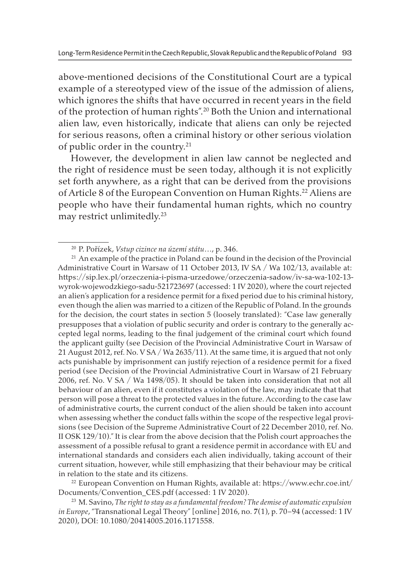above-mentioned decisions of the Constitutional Court are a typical example of a stereotyped view of the issue of the admission of aliens, which ignores the shifts that have occurred in recent years in the field of the protection of human rights".20 Both the Union and international alien law, even historically, indicate that aliens can only be rejected for serious reasons, often a criminal history or other serious violation of public order in the country.21

However, the development in alien law cannot be neglected and the right of residence must be seen today, although it is not explicitly set forth anywhere, as a right that can be derived from the provisions of Article 8 of the European Convention on Human Rights.<sup>22</sup> Aliens are people who have their fundamental human rights, which no country may restrict unlimitedly.23

<sup>22</sup> European Convention on Human Rights, available at: https://www.echr.coe.int/ Documents/Convention\_CES.pdf (accessed: 1 IV 2020).

<sup>23</sup> M. Savino, *The right to stay as a fundamental freedom? The demise of automatic expulsion in Europe*, "Transnational Legal Theory" [online] 2016, no. **7**(1), p. 70–94 (accessed: 1 IV 2020), DOI: 10.1080/20414005.2016.1171558.

<sup>20</sup> P. Pořízek, *Vstup cizince na území státu*…, p. 346.

<sup>&</sup>lt;sup>21</sup> An example of the practice in Poland can be found in the decision of the Provincial Administrative Court in Warsaw of 11 October 2013, IV SA / Wa 102/13, available at: https://sip.lex.pl/orzeczenia-i-pisma-urzedowe/orzeczenia-sadow/iv-sa-wa-102-13 wyrok-wojewodzkiego-sadu-521723697 (accessed: 1 IV 2020), where the court rejected an alien's application for a residence permit for a fixed period due to his criminal history, even though the alien was married to a citizen of the Republic of Poland. In the grounds for the decision, the court states in section 5 (loosely translated): "Case law generally presupposes that a violation of public security and order is contrary to the generally accepted legal norms, leading to the final judgement of the criminal court which found the applicant guilty (see Decision of the Provincial Administrative Court in Warsaw of 21 August 2012, ref. No. V SA / Wa 2635/11). At the same time, it is argued that not only acts punishable by imprisonment can justify rejection of a residence permit for a fixed period (see Decision of the Provincial Administrative Court in Warsaw of 21 February 2006, ref. No. V SA / Wa 1498/05). It should be taken into consideration that not all behaviour of an alien, even if it constitutes a violation of the law, may indicate that that person will pose a threat to the protected values in the future. According to the case law of administrative courts, the current conduct of the alien should be taken into account when assessing whether the conduct falls within the scope of the respective legal provisions (see Decision of the Supreme Administrative Court of 22 December 2010, ref. No. II OSK 129/10)." It is clear from the above decision that the Polish court approaches the assessment of a possible refusal to grant a residence permit in accordance with EU and international standards and considers each alien individually, taking account of their current situation, however, while still emphasizing that their behaviour may be critical in relation to the state and its citizens.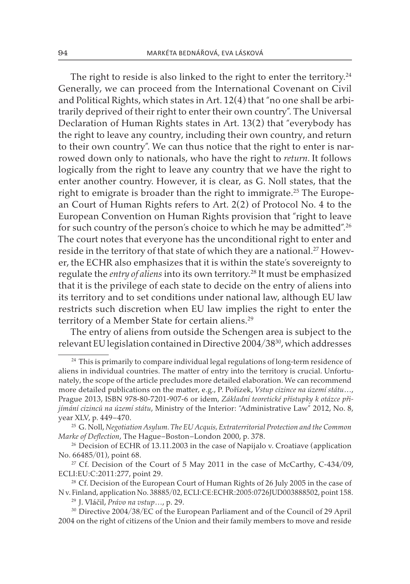The right to reside is also linked to the right to enter the territory.<sup>24</sup> Generally, we can proceed from the International Covenant on Civil and Political Rights, which states in Art.  $12(4)$  that "no one shall be arbitrarily deprived of their right to enter their own country". The Universal Declaration of Human Rights states in Art. 13(2) that "everybody has the right to leave any country, including their own country, and return to their own country". We can thus notice that the right to enter is narrowed down only to nationals, who have the right to *return.* It follows logically from the right to leave any country that we have the right to enter another country. However, it is clear, as G. Noll states, that the right to emigrate is broader than the right to immigrate.<sup>25</sup> The European Court of Human Rights refers to Art. 2(2) of Protocol No. 4 to the European Convention on Human Rights provision that "right to leave for such country of the person's choice to which he may be admitted".26 The court notes that everyone has the unconditional right to enter and reside in the territory of that state of which they are a national.<sup>27</sup> However, the ECHR also emphasizes that it is within the state's sovereignty to regulate the *entry of aliens* into its own territory.28 It must be emphasized that it is the privilege of each state to decide on the entry of aliens into its territory and to set conditions under national law, although EU law restricts such discretion when EU law implies the right to enter the territory of a Member State for certain aliens.<sup>29</sup>

The entry of aliens from outside the Schengen area is subject to the relevant EU legislation contained in Directive 2004/3830, which addresses

<sup>&</sup>lt;sup>24</sup> This is primarily to compare individual legal regulations of long-term residence of aliens in individual countries. The matter of entry into the territory is crucial. Unfortunately, the scope of the article precludes more detailed elaboration. We can recommend more detailed publications on the matter, e.g., P. Pořízek, *Vstup cizince na území státu*…, Prague 2013, ISBN 978-80-7201-907-6 or idem, *Základní teoretické přístupky k otázce přijímání cizinců na území státu*, Ministry of the Interior: "Administrative Law" 2012, No. 8, year XLV, p. 449–470. 25 G. Noll, *Negotiation Asylum. The EU Acquis, Extraterritorial Protection and the Common* 

*Marke of Deflection*, The Hague–Boston–London 2000, p. 378.

 $26$  Decision of ECHR of 13.11.2003 in the case of Napijalo v. Croatiave (application No. 66485/01), point 68.

<sup>&</sup>lt;sup>27</sup> Cf. Decision of the Court of 5 May 2011 in the case of McCarthy, C-434/09, ECLI:EU:C:2011:277, point 29.

<sup>&</sup>lt;sup>28</sup> Cf. Decision of the European Court of Human Rights of 26 July 2005 in the case of N v. Finland, application No. 38885/02, ECLI:CE:ECHR:2005:0726JUD003888502, point 158.

<sup>29</sup> J. Vláčil, *Právo na vstup*…, p. 29.

<sup>30</sup> Directive 2004/38/EC of the European Parliament and of the Council of 29 April 2004 on the right of citizens of the Union and their family members to move and reside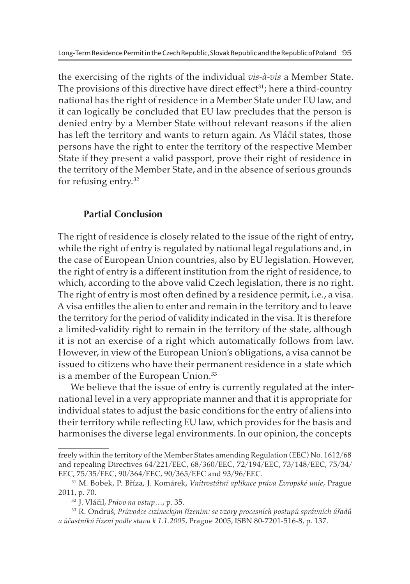the exercising of the rights of the individual *vis-à-vis* a Member State. The provisions of this directive have direct effect<sup>31</sup>; here a third-country national has the right of residence in a Member State under EU law, and it can logically be concluded that EU law precludes that the person is denied entry by a Member State without relevant reasons if the alien has left the territory and wants to return again. As Vláčil states, those persons have the right to enter the territory of the respective Member State if they present a valid passport, prove their right of residence in the territory of the Member State, and in the absence of serious grounds for refusing entry.32

## **Partial Conclusion**

The right of residence is closely related to the issue of the right of entry, while the right of entry is regulated by national legal regulations and, in the case of European Union countries, also by EU legislation. However, the right of entry is a different institution from the right of residence, to which, according to the above valid Czech legislation, there is no right. The right of entry is most often defined by a residence permit, i.e., a visa. A visa entitles the alien to enter and remain in the territory and to leave the territory for the period of validity indicated in the visa. It is therefore a limited-validity right to remain in the territory of the state, although it is not an exercise of a right which automatically follows from law. However, in view of the European Union's obligations, a visa cannot be issued to citizens who have their permanent residence in a state which is a member of the European Union.<sup>33</sup>

We believe that the issue of entry is currently regulated at the international level in a very appropriate manner and that it is appropriate for individual states to adjust the basic conditions for the entry of aliens into their territory while reflecting EU law, which provides for the basis and harmonises the diverse legal environments. In our opinion, the concepts

freely within the territory of the Member States amending Regulation (EEC) No. 1612/68 and repealing Directives 64/221/EEC, 68/360/EEC, 72/194/EEC, 73/148/EEC, 75/34/ EEC, 75/35/EEC, 90/364/EEC, 90/365/EEC and 93/96/EEC.

<sup>31</sup> M. Bobek, P. Bříza, J. Komárek, *Vnitrostátní aplikace práva Evropské unie*, Prague 2011, p. 70.

<sup>32</sup> J. Vláčil, *Právo na vstup*…, p. 35.

<sup>33</sup> R. Ondruš, *Průvodce cizineckým řízením: se vzory procesních postupů správních úřadů a účastníků řízení podle stavu k 1.1.2005*, Prague 2005, ISBN 80-7201-516-8, p. 137.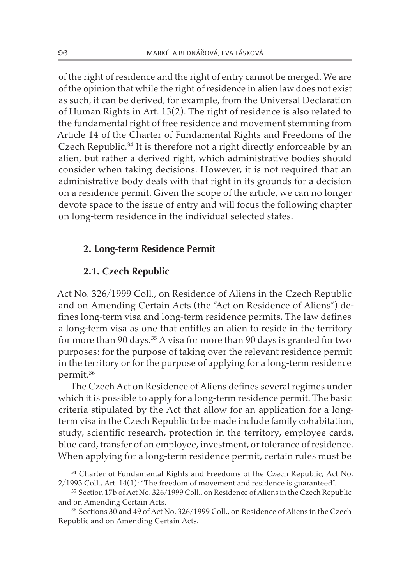of the right of residence and the right of entry cannot be merged. We are of the opinion that while the right of residence in alien law does not exist as such, it can be derived, for example, from the Universal Declaration of Human Rights in Art. 13(2). The right of residence is also related to the fundamental right of free residence and movement stemming from Article 14 of the Charter of Fundamental Rights and Freedoms of the Czech Republic.<sup>34</sup> It is therefore not a right directly enforceable by an alien, but rather a derived right, which administrative bodies should consider when taking decisions. However, it is not required that an administrative body deals with that right in its grounds for a decision on a residence permit. Given the scope of the article, we can no longer devote space to the issue of entry and will focus the following chapter on long-term residence in the individual selected states.

#### **2. Long-term Residence Permit**

#### **2.1. Czech Republic**

Act No. 326/1999 Coll., on Residence of Aliens in the Czech Republic and on Amending Certain Acts (the "Act on Residence of Aliens") defines long-term visa and long-term residence permits. The law defines a long-term visa as one that entitles an alien to reside in the territory for more than 90 days.<sup>35</sup> A visa for more than 90 days is granted for two purposes: for the purpose of taking over the relevant residence permit in the territory or for the purpose of applying for a long-term residence permit.36

The Czech Act on Residence of Aliens defines several regimes under which it is possible to apply for a long-term residence permit. The basic criteria stipulated by the Act that allow for an application for a longterm visa in the Czech Republic to be made include family cohabitation, study, scientific research, protection in the territory, employee cards, blue card, transfer of an employee, investment, or tolerance of residence. When applying for a long-term residence permit, certain rules must be

<sup>&</sup>lt;sup>34</sup> Charter of Fundamental Rights and Freedoms of the Czech Republic, Act No. 2/1993 Coll., Art. 14(1): "The freedom of movement and residence is guaranteed".

<sup>&</sup>lt;sup>35</sup> Section 17b of Act No. 326/1999 Coll., on Residence of Aliens in the Czech Republic and on Amending Certain Acts.

<sup>36</sup> Sections 30 and 49 of Act No. 326/1999 Coll., on Residence of Aliens in the Czech Republic and on Amending Certain Acts.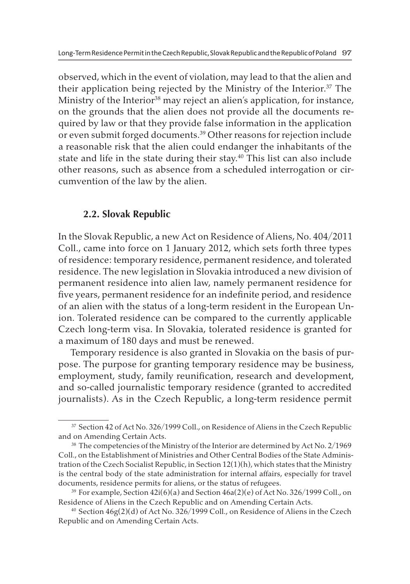observed, which in the event of violation, may lead to that the alien and their application being rejected by the Ministry of the Interior.37 The Ministry of the Interior<sup>38</sup> may reject an alien's application, for instance, on the grounds that the alien does not provide all the documents required by law or that they provide false information in the application or even submit forged documents.39 Other reasons for rejection include a reasonable risk that the alien could endanger the inhabitants of the state and life in the state during their stay.<sup>40</sup> This list can also include other reasons, such as absence from a scheduled interrogation or circumvention of the law by the alien.

## **2.2. Slovak Republic**

In the Slovak Republic, a new Act on Residence of Aliens, No. 404/2011 Coll., came into force on 1 January 2012, which sets forth three types of residence: temporary residence, permanent residence, and tolerated residence. The new legislation in Slovakia introduced a new division of permanent residence into alien law, namely permanent residence for five years, permanent residence for an indefinite period, and residence of an alien with the status of a long-term resident in the European Union. Tolerated residence can be compared to the currently applicable Czech long-term visa. In Slovakia, tolerated residence is granted for a maximum of 180 days and must be renewed.

Temporary residence is also granted in Slovakia on the basis of purpose. The purpose for granting temporary residence may be business, employment, study, family reunification, research and development, and so-called journalistic temporary residence (granted to accredited journalists). As in the Czech Republic, a long-term residence permit

<sup>&</sup>lt;sup>37</sup> Section 42 of Act No. 326/1999 Coll., on Residence of Aliens in the Czech Republic and on Amending Certain Acts.

<sup>&</sup>lt;sup>38</sup> The competencies of the Ministry of the Interior are determined by Act No. 2/1969 Coll., on the Establishment of Ministries and Other Central Bodies of the State Administration of the Czech Socialist Republic, in Section  $12(1)(h)$ , which states that the Ministry is the central body of the state administration for internal affairs, especially for travel documents, residence permits for aliens, or the status of refugees.

<sup>&</sup>lt;sup>39</sup> For example, Section  $42i(6)(a)$  and Section  $46a(2)(e)$  of Act No. 326/1999 Coll., on Residence of Aliens in the Czech Republic and on Amending Certain Acts.

<sup>&</sup>lt;sup>40</sup> Section 46g(2)(d) of Act No. 326/1999 Coll., on Residence of Aliens in the Czech Republic and on Amending Certain Acts.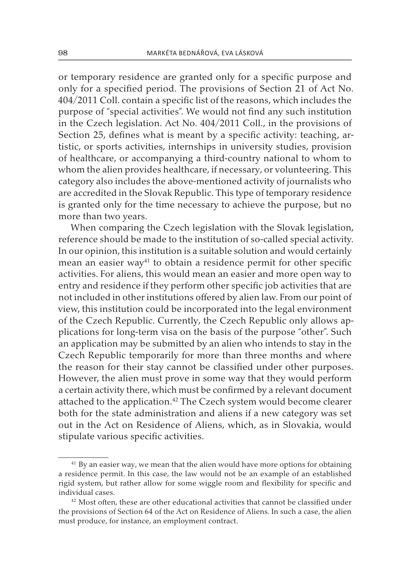or temporary residence are granted only for a specific purpose and only for a specified period. The provisions of Section 21 of Act No. 404/2011 Coll. contain a specific list of the reasons, which includes the purpose of "special activities". We would not find any such institution in the Czech legislation. Act No. 404/2011 Coll., in the provisions of Section 25, defines what is meant by a specific activity: teaching, artistic, or sports activities, internships in university studies, provision of healthcare, or accompanying a third-country national to whom to whom the alien provides healthcare, if necessary, or volunteering. This category also includes the above-mentioned activity of journalists who are accredited in the Slovak Republic. This type of temporary residence is granted only for the time necessary to achieve the purpose, but no more than two years.

When comparing the Czech legislation with the Slovak legislation, reference should be made to the institution of so-called special activity. In our opinion, this institution is a suitable solution and would certainly mean an easier way<sup>41</sup> to obtain a residence permit for other specific activities. For aliens, this would mean an easier and more open way to entry and residence if they perform other specific job activities that are not included in other institutions offered by alien law. From our point of view, this institution could be incorporated into the legal environment of the Czech Republic. Currently, the Czech Republic only allows applications for long-term visa on the basis of the purpose "other". Such an application may be submitted by an alien who intends to stay in the Czech Republic temporarily for more than three months and where the reason for their stay cannot be classified under other purposes. However, the alien must prove in some way that they would perform a certain activity there, which must be confirmed by a relevant document attached to the application.<sup>42</sup> The Czech system would become clearer both for the state administration and aliens if a new category was set out in the Act on Residence of Aliens, which, as in Slovakia, would stipulate various specific activities.

<sup>&</sup>lt;sup>41</sup> By an easier way, we mean that the alien would have more options for obtaining a residence permit. In this case, the law would not be an example of an established rigid system, but rather allow for some wiggle room and flexibility for specific and individual cases.

<sup>42</sup> Most often, these are other educational activities that cannot be classified under the provisions of Section 64 of the Act on Residence of Aliens. In such a case, the alien must produce, for instance, an employment contract.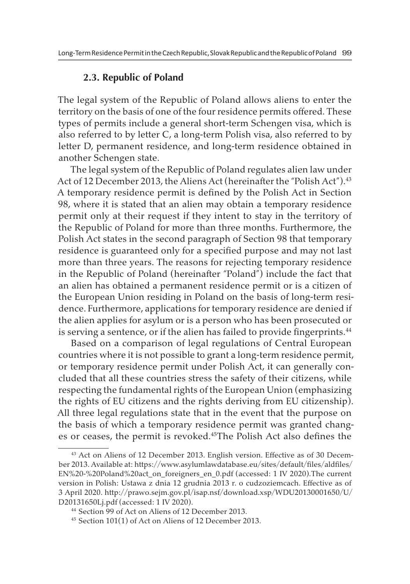### **2.3. Republic of Poland**

The legal system of the Republic of Poland allows aliens to enter the territory on the basis of one of the four residence permits offered. These types of permits include a general short-term Schengen visa, which is also referred to by letter C, a long-term Polish visa, also referred to by letter D, permanent residence, and long-term residence obtained in another Schengen state.

The legal system of the Republic of Poland regulates alien law under Act of 12 December 2013, the Aliens Act (hereinafter the "Polish Act").<sup>43</sup> A temporary residence permit is defined by the Polish Act in Section 98, where it is stated that an alien may obtain a temporary residence permit only at their request if they intent to stay in the territory of the Republic of Poland for more than three months. Furthermore, the Polish Act states in the second paragraph of Section 98 that temporary residence is guaranteed only for a specified purpose and may not last more than three years. The reasons for rejecting temporary residence in the Republic of Poland (hereinafter "Poland") include the fact that an alien has obtained a permanent residence permit or is a citizen of the European Union residing in Poland on the basis of long-term residence. Furthermore, applications for temporary residence are denied if the alien applies for asylum or is a person who has been prosecuted or is serving a sentence, or if the alien has failed to provide fingerprints.<sup>44</sup>

Based on a comparison of legal regulations of Central European countries where it is not possible to grant a long-term residence permit, or temporary residence permit under Polish Act, it can generally concluded that all these countries stress the safety of their citizens, while respecting the fundamental rights of the European Union (emphasizing the rights of EU citizens and the rights deriving from EU citizenship). All three legal regulations state that in the event that the purpose on the basis of which a temporary residence permit was granted changes or ceases, the permit is revoked.45The Polish Act also defines the

<sup>43</sup> Act on Aliens of 12 December 2013. English version. Effective as of 30 December 2013. Available at: https://www.asylumlawdatabase.eu/sites/default/files/aldfiles/ EN%20-%20Poland%20act\_on\_foreigners\_en\_0.pdf (accessed: 1 IV 2020).The current version in Polish: Ustawa z dnia 12 grudnia 2013 r. o cudzoziemcach. Effective as of 3 April 2020. http://prawo.sejm.gov.pl/isap.nsf/download.xsp/WDU20130001650/U/ D20131650Lj.pdf (accessed: 1 IV 2020).

<sup>44</sup> Section 99 of Act on Aliens of 12 December 2013.

<sup>45</sup> Section 101(1) of Act on Aliens of 12 December 2013.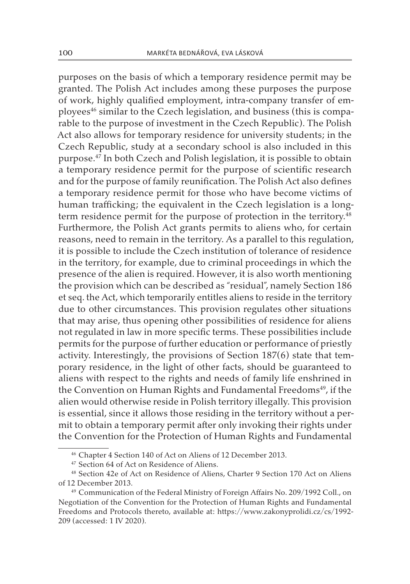purposes on the basis of which a temporary residence permit may be granted. The Polish Act includes among these purposes the purpose of work, highly qualified employment, intra-company transfer of employees<sup>46</sup> similar to the Czech legislation, and business (this is comparable to the purpose of investment in the Czech Republic). The Polish Act also allows for temporary residence for university students; in the Czech Republic, study at a secondary school is also included in this purpose.47 In both Czech and Polish legislation, it is possible to obtain a temporary residence permit for the purpose of scientific research and for the purpose of family reunification. The Polish Act also defines a temporary residence permit for those who have become victims of human trafficking; the equivalent in the Czech legislation is a longterm residence permit for the purpose of protection in the territory.<sup>48</sup> Furthermore, the Polish Act grants permits to aliens who, for certain reasons, need to remain in the territory. As a parallel to this regulation, it is possible to include the Czech institution of tolerance of residence in the territory, for example, due to criminal proceedings in which the presence of the alien is required. However, it is also worth mentioning the provision which can be described as "residual", namely Section 186 et seq. the Act, which temporarily entitles aliens to reside in the territory due to other circumstances. This provision regulates other situations that may arise, thus opening other possibilities of residence for aliens not regulated in law in more specific terms. These possibilities include permits for the purpose of further education or performance of priestly activity. Interestingly, the provisions of Section 187(6) state that temporary residence, in the light of other facts, should be guaranteed to aliens with respect to the rights and needs of family life enshrined in the Convention on Human Rights and Fundamental Freedoms<sup>49</sup>, if the alien would otherwise reside in Polish territory illegally. This provision is essential, since it allows those residing in the territory without a permit to obtain a temporary permit after only invoking their rights under the Convention for the Protection of Human Rights and Fundamental

<sup>46</sup> Chapter 4 Section 140 of Act on Aliens of 12 December 2013.

<sup>&</sup>lt;sup>47</sup> Section 64 of Act on Residence of Aliens.

<sup>48</sup> Section 42e of Act on Residence of Aliens, Charter 9 Section 170 Act on Aliens of 12 December 2013.

<sup>49</sup> Communication of the Federal Ministry of Foreign Affairs No. 209/1992 Coll., on Negotiation of the Convention for the Protection of Human Rights and Fundamental Freedoms and Protocols thereto, available at: https://www.zakonyprolidi.cz/cs/1992- 209 (accessed: 1 IV 2020).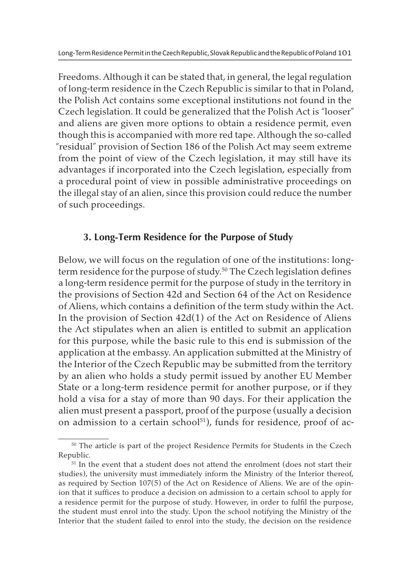Freedoms. Although it can be stated that, in general, the legal regulation of long-term residence in the Czech Republic is similar to that in Poland, the Polish Act contains some exceptional institutions not found in the Czech legislation. It could be generalized that the Polish Act is "looser" and aliens are given more options to obtain a residence permit, even though this is accompanied with more red tape. Although the so-called "residual" provision of Section 186 of the Polish Act may seem extreme from the point of view of the Czech legislation, it may still have its advantages if incorporated into the Czech legislation, especially from a procedural point of view in possible administrative proceedings on the illegal stay of an alien, since this provision could reduce the number of such proceedings.

# **3. Long-Term Residence for the Purpose of Study**

Below, we will focus on the regulation of one of the institutions: longterm residence for the purpose of study.<sup>50</sup> The Czech legislation defines a long-term residence permit for the purpose of study in the territory in the provisions of Section 42d and Section 64 of the Act on Residence of Aliens, which contains a definition of the term study within the Act. In the provision of Section 42d(1) of the Act on Residence of Aliens the Act stipulates when an alien is entitled to submit an application for this purpose, while the basic rule to this end is submission of the application at the embassy. An application submitted at the Ministry of the Interior of the Czech Republic may be submitted from the territory by an alien who holds a study permit issued by another EU Member State or a long-term residence permit for another purpose, or if they hold a visa for a stay of more than 90 days. For their application the alien must present a passport, proof of the purpose (usually a decision on admission to a certain school $51$ ), funds for residence, proof of ac-

<sup>50</sup> The article is part of the project Residence Permits for Students in the Czech Republic.

<sup>&</sup>lt;sup>51</sup> In the event that a student does not attend the enrolment (does not start their studies), the university must immediately inform the Ministry of the Interior thereof, as required by Section 107(5) of the Act on Residence of Aliens. We are of the opinion that it suffices to produce a decision on admission to a certain school to apply for a residence permit for the purpose of study. However, in order to fulfil the purpose, the student must enrol into the study. Upon the school notifying the Ministry of the Interior that the student failed to enrol into the study, the decision on the residence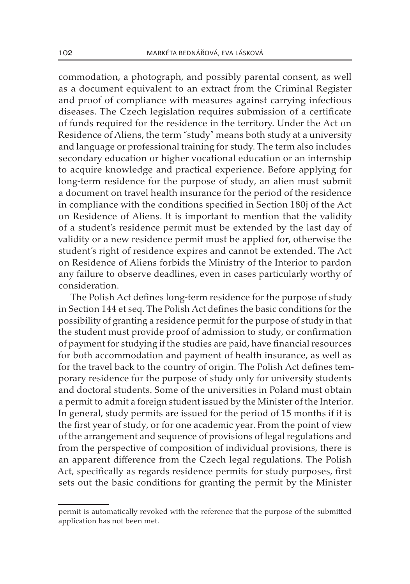commodation, a photograph, and possibly parental consent, as well as a document equivalent to an extract from the Criminal Register and proof of compliance with measures against carrying infectious diseases. The Czech legislation requires submission of a certificate of funds required for the residence in the territory. Under the Act on Residence of Aliens, the term "study" means both study at a university and language or professional training for study. The term also includes secondary education or higher vocational education or an internship to acquire knowledge and practical experience. Before applying for long-term residence for the purpose of study, an alien must submit a document on travel health insurance for the period of the residence in compliance with the conditions specified in Section 180j of the Act on Residence of Aliens. It is important to mention that the validity of a student's residence permit must be extended by the last day of validity or a new residence permit must be applied for, otherwise the student's right of residence expires and cannot be extended. The Act on Residence of Aliens forbids the Ministry of the Interior to pardon any failure to observe deadlines, even in cases particularly worthy of consideration.

The Polish Act defines long-term residence for the purpose of study in Section 144 et seq. The Polish Act defines the basic conditions for the possibility of granting a residence permit for the purpose of study in that the student must provide proof of admission to study, or confirmation of payment for studying if the studies are paid, have financial resources for both accommodation and payment of health insurance, as well as for the travel back to the country of origin. The Polish Act defines temporary residence for the purpose of study only for university students and doctoral students. Some of the universities in Poland must obtain a permit to admit a foreign student issued by the Minister of the Interior. In general, study permits are issued for the period of 15 months if it is the first year of study, or for one academic year. From the point of view of the arrangement and sequence of provisions of legal regulations and from the perspective of composition of individual provisions, there is an apparent difference from the Czech legal regulations. The Polish Act, specifically as regards residence permits for study purposes, first sets out the basic conditions for granting the permit by the Minister

permit is automatically revoked with the reference that the purpose of the submitted application has not been met.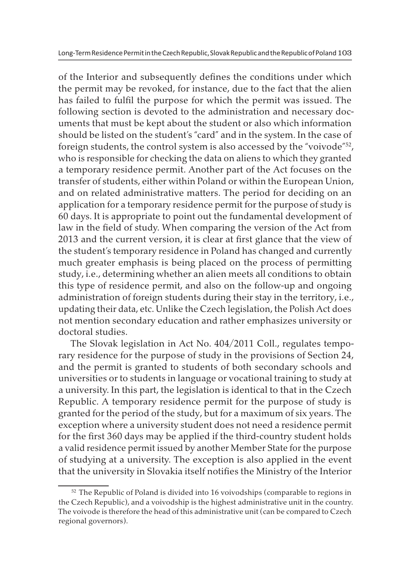of the Interior and subsequently defines the conditions under which the permit may be revoked, for instance, due to the fact that the alien has failed to fulfil the purpose for which the permit was issued. The following section is devoted to the administration and necessary documents that must be kept about the student or also which information should be listed on the student's "card" and in the system. In the case of foreign students, the control system is also accessed by the "voivode"52, who is responsible for checking the data on aliens to which they granted a temporary residence permit. Another part of the Act focuses on the transfer of students, either within Poland or within the European Union, and on related administrative matters. The period for deciding on an application for a temporary residence permit for the purpose of study is 60 days. It is appropriate to point out the fundamental development of law in the field of study. When comparing the version of the Act from 2013 and the current version, it is clear at first glance that the view of the student's temporary residence in Poland has changed and currently much greater emphasis is being placed on the process of permitting study, i.e., determining whether an alien meets all conditions to obtain this type of residence permit, and also on the follow-up and ongoing administration of foreign students during their stay in the territory, i.e., updating their data, etc. Unlike the Czech legislation, the Polish Act does not mention secondary education and rather emphasizes university or doctoral studies.

The Slovak legislation in Act No. 404/2011 Coll., regulates temporary residence for the purpose of study in the provisions of Section 24, and the permit is granted to students of both secondary schools and universities or to students in language or vocational training to study at a university. In this part, the legislation is identical to that in the Czech Republic. A temporary residence permit for the purpose of study is granted for the period of the study, but for a maximum of six years. The exception where a university student does not need a residence permit for the first 360 days may be applied if the third-country student holds a valid residence permit issued by another Member State for the purpose of studying at a university. The exception is also applied in the event that the university in Slovakia itself notifies the Ministry of the Interior

<sup>&</sup>lt;sup>52</sup> The Republic of Poland is divided into 16 voivodships (comparable to regions in the Czech Republic), and a voivodship is the highest administrative unit in the country. The voivode is therefore the head of this administrative unit (can be compared to Czech regional governors).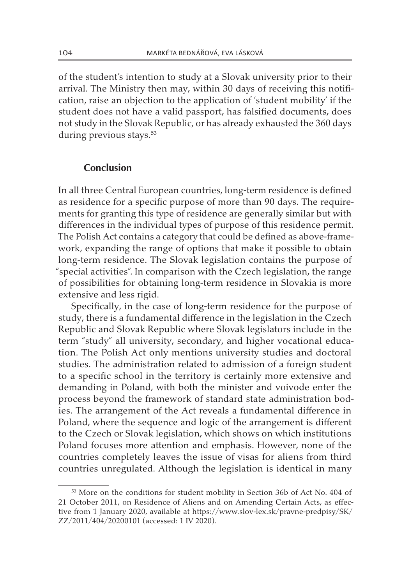of the student's intention to study at a Slovak university prior to their arrival. The Ministry then may, within 30 days of receiving this notification, raise an objection to the application of 'student mobility' if the student does not have a valid passport, has falsified documents, does not study in the Slovak Republic, or has already exhausted the 360 days during previous stays.<sup>53</sup>

#### **Conclusion**

In all three Central European countries, long-term residence is defined as residence for a specific purpose of more than 90 days. The requirements for granting this type of residence are generally similar but with differences in the individual types of purpose of this residence permit. The Polish Act contains a category that could be defined as above-framework, expanding the range of options that make it possible to obtain long-term residence. The Slovak legislation contains the purpose of "special activities". In comparison with the Czech legislation, the range of possibilities for obtaining long-term residence in Slovakia is more extensive and less rigid.

Specifically, in the case of long-term residence for the purpose of study, there is a fundamental difference in the legislation in the Czech Republic and Slovak Republic where Slovak legislators include in the term "study" all university, secondary, and higher vocational education. The Polish Act only mentions university studies and doctoral studies. The administration related to admission of a foreign student to a specific school in the territory is certainly more extensive and demanding in Poland, with both the minister and voivode enter the process beyond the framework of standard state administration bodies. The arrangement of the Act reveals a fundamental difference in Poland, where the sequence and logic of the arrangement is different to the Czech or Slovak legislation, which shows on which institutions Poland focuses more attention and emphasis. However, none of the countries completely leaves the issue of visas for aliens from third countries unregulated. Although the legislation is identical in many

<sup>53</sup> More on the conditions for student mobility in Section 36b of Act No. 404 of 21 October 2011, on Residence of Aliens and on Amending Certain Acts, as effective from 1 January 2020, available at https://www.slov-lex.sk/pravne-predpisy/SK/ ZZ/2011/404/20200101 (accessed: 1 IV 2020).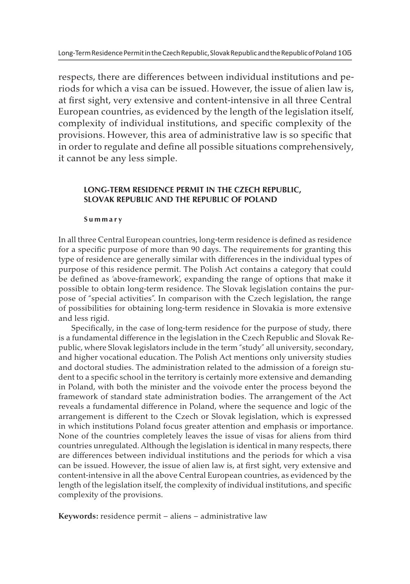respects, there are differences between individual institutions and periods for which a visa can be issued. However, the issue of alien law is, at first sight, very extensive and content-intensive in all three Central European countries, as evidenced by the length of the legislation itself, complexity of individual institutions, and specific complexity of the provisions. However, this area of administrative law is so specific that in order to regulate and define all possible situations comprehensively, it cannot be any less simple.

#### **LONG-TERM RESIDENCE PERMIT IN THE CZECH REPUBLIC, SLOVAK REPUBLIC AND THE REPUBLIC OF POLAND**

#### **Summary**

In all three Central European countries, long-term residence is defined as residence for a specific purpose of more than 90 days. The requirements for granting this type of residence are generally similar with differences in the individual types of purpose of this residence permit. The Polish Act contains a category that could be defined as 'above-framework', expanding the range of options that make it possible to obtain long-term residence. The Slovak legislation contains the purpose of "special activities". In comparison with the Czech legislation, the range of possibilities for obtaining long-term residence in Slovakia is more extensive and less rigid.

Specifically, in the case of long-term residence for the purpose of study, there is a fundamental difference in the legislation in the Czech Republic and Slovak Republic, where Slovak legislators include in the term "study" all university, secondary, and higher vocational education. The Polish Act mentions only university studies and doctoral studies. The administration related to the admission of a foreign student to a specific school in the territory is certainly more extensive and demanding in Poland, with both the minister and the voivode enter the process beyond the framework of standard state administration bodies. The arrangement of the Act reveals a fundamental difference in Poland, where the sequence and logic of the arrangement is different to the Czech or Slovak legislation, which is expressed in which institutions Poland focus greater attention and emphasis or importance. None of the countries completely leaves the issue of visas for aliens from third countries unregulated. Although the legislation is identical in many respects, there are differences between individual institutions and the periods for which a visa can be issued. However, the issue of alien law is, at first sight, very extensive and content-intensive in all the above Central European countries, as evidenced by the length of the legislation itself, the complexity of individual institutions, and specific complexity of the provisions.

**Keywords:** residence permit – aliens – administrative law